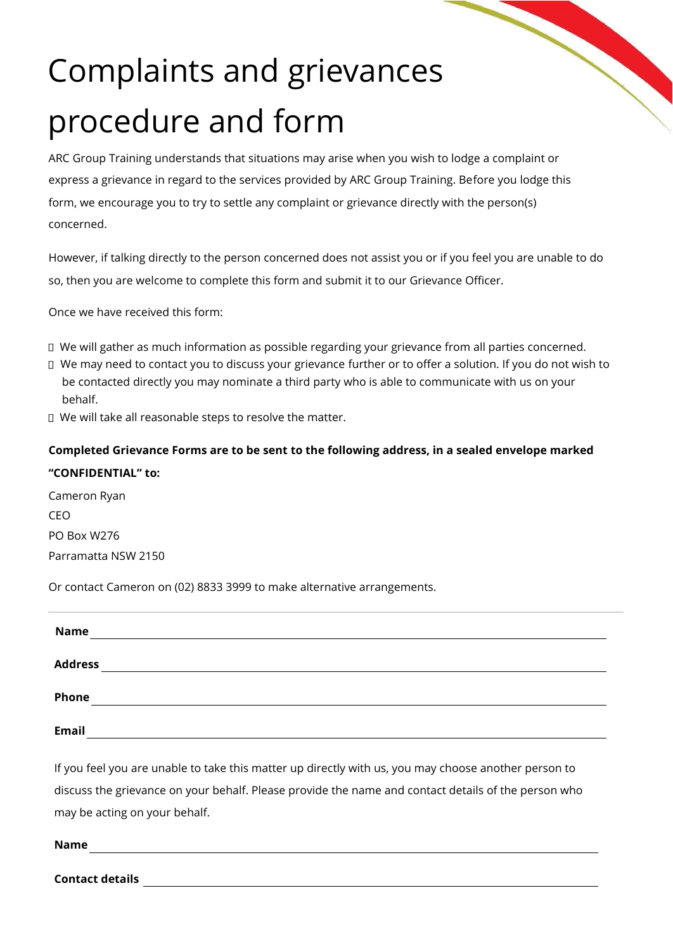## Complaints and grievances procedure and form

ARC Group Training understands that situations may arise when you wish to lodge a complaint or express a grievance in regard to the services provided by ARC Group Training. Before you lodge this form, we encourage you to try to settle any complaint or grievance directly with the person(s) concerned.

However, if talking directly to the person concerned does not assist you or if you feel you are unable to do so, then you are welcome to complete this form and submit it to our Grievance Officer.

Once we have received this form:

- We will gather as much information as possible regarding your grievance from all parties concerned.
- We may need to contact you to discuss your grievance further or to offer a solution. If you do not wish to be contacted directly you may nominate a third party who is able to communicate with us on your behalf.
- □ We will take all reasonable steps to resolve the matter.

## **Completed Grievance Forms are to be sent to the following address, in a sealed envelope marked "CONFIDENTIAL" to:**

Cameron Ryan CEO PO Box W276 Parramatta NSW 2150

Or contact Cameron on (02) 8833 3999 to make alternative arrangements.

| <b>Name</b>    |  |  |  |
|----------------|--|--|--|
| <b>Address</b> |  |  |  |
| Phone          |  |  |  |
| <b>Email</b>   |  |  |  |

If you feel you are unable to take this matter up directly with us, you may choose another person to discuss the grievance on your behalf. Please provide the name and contact details of the person who may be acting on your behalf.

**Name**

**Contact details**